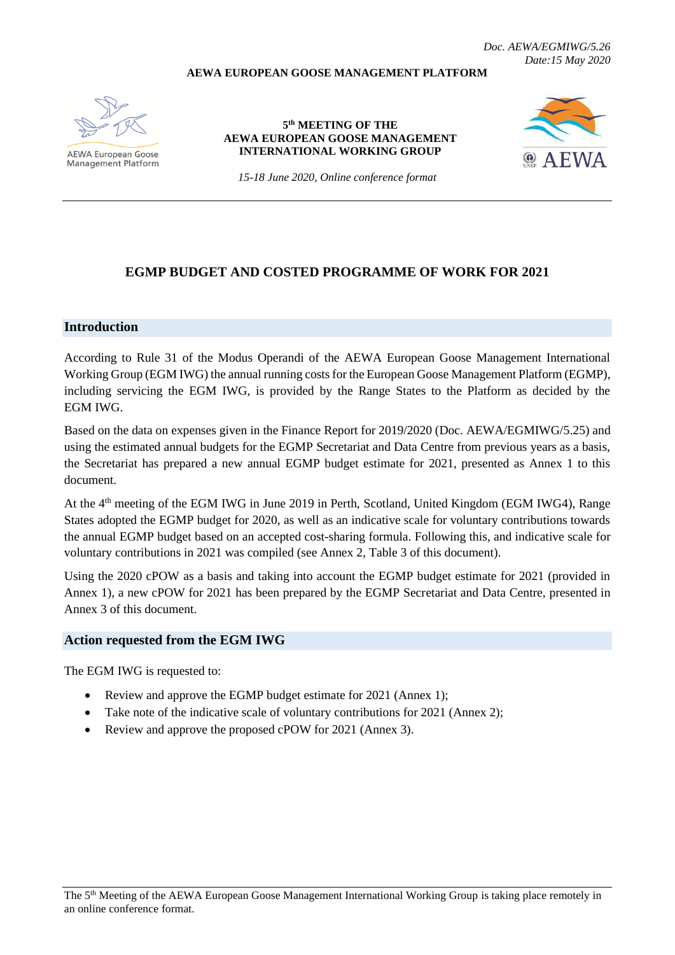**AEWA EUROPEAN GOOSE MANAGEMENT PLATFORM**



**AEWA European Goose Management Platform** 

**5 th MEETING OF THE AEWA EUROPEAN GOOSE MANAGEMENT INTERNATIONAL WORKING GROUP**



*15-18 June 2020, Online conference format*

# **EGMP BUDGET AND COSTED PROGRAMME OF WORK FOR 2021**

#### **Introduction**

According to Rule 31 of the Modus Operandi of the AEWA European Goose Management International Working Group (EGM IWG) the annual running costs for the European Goose Management Platform (EGMP), including servicing the EGM IWG, is provided by the Range States to the Platform as decided by the EGM IWG.

Based on the data on expenses given in the Finance Report for 2019/2020 (Doc. AEWA/EGMIWG/5.25) and using the estimated annual budgets for the EGMP Secretariat and Data Centre from previous years as a basis, the Secretariat has prepared a new annual EGMP budget estimate for 2021, presented as Annex 1 to this document.

At the 4<sup>th</sup> meeting of the EGM IWG in June 2019 in Perth, Scotland, United Kingdom (EGM IWG4), Range States adopted the EGMP budget for 2020, as well as an indicative scale for voluntary contributions towards the annual EGMP budget based on an accepted cost-sharing formula. Following this, and indicative scale for voluntary contributions in 2021 was compiled (see Annex 2, Table 3 of this document).

Using the 2020 cPOW as a basis and taking into account the EGMP budget estimate for 2021 (provided in Annex 1), a new cPOW for 2021 has been prepared by the EGMP Secretariat and Data Centre, presented in Annex 3 of this document.

#### **Action requested from the EGM IWG**

The EGM IWG is requested to:

- Review and approve the EGMP budget estimate for 2021 (Annex 1);
- Take note of the indicative scale of voluntary contributions for 2021 (Annex 2);
- Review and approve the proposed cPOW for 2021 (Annex 3).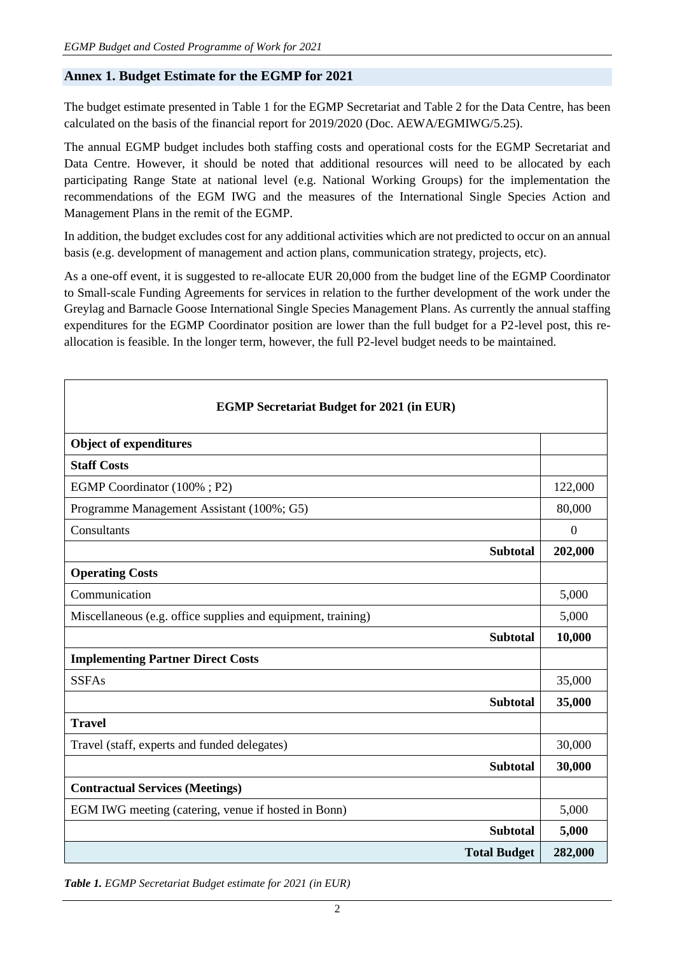### **Annex 1. Budget Estimate for the EGMP for 2021**

The budget estimate presented in Table 1 for the EGMP Secretariat and Table 2 for the Data Centre, has been calculated on the basis of the financial report for 2019/2020 (Doc. AEWA/EGMIWG/5.25).

The annual EGMP budget includes both staffing costs and operational costs for the EGMP Secretariat and Data Centre. However, it should be noted that additional resources will need to be allocated by each participating Range State at national level (e.g. National Working Groups) for the implementation the recommendations of the EGM IWG and the measures of the International Single Species Action and Management Plans in the remit of the EGMP.

In addition, the budget excludes cost for any additional activities which are not predicted to occur on an annual basis (e.g. development of management and action plans, communication strategy, projects, etc).

As a one-off event, it is suggested to re-allocate EUR 20,000 from the budget line of the EGMP Coordinator to Small-scale Funding Agreements for services in relation to the further development of the work under the Greylag and Barnacle Goose International Single Species Management Plans. As currently the annual staffing expenditures for the EGMP Coordinator position are lower than the full budget for a P2-level post, this reallocation is feasible. In the longer term, however, the full P2-level budget needs to be maintained.

| <b>EGMP Secretariat Budget for 2021 (in EUR)</b>             |                |  |  |  |  |
|--------------------------------------------------------------|----------------|--|--|--|--|
| <b>Object of expenditures</b>                                |                |  |  |  |  |
| <b>Staff Costs</b>                                           |                |  |  |  |  |
| EGMP Coordinator (100%; P2)                                  | 122,000        |  |  |  |  |
| Programme Management Assistant (100%; G5)                    | 80,000         |  |  |  |  |
| Consultants                                                  | $\overline{0}$ |  |  |  |  |
| <b>Subtotal</b>                                              | 202,000        |  |  |  |  |
| <b>Operating Costs</b>                                       |                |  |  |  |  |
| Communication                                                | 5,000          |  |  |  |  |
| Miscellaneous (e.g. office supplies and equipment, training) | 5,000          |  |  |  |  |
| <b>Subtotal</b>                                              | 10,000         |  |  |  |  |
| <b>Implementing Partner Direct Costs</b>                     |                |  |  |  |  |
| <b>SSFAs</b>                                                 | 35,000         |  |  |  |  |
| <b>Subtotal</b>                                              | 35,000         |  |  |  |  |
| <b>Travel</b>                                                |                |  |  |  |  |
| Travel (staff, experts and funded delegates)                 | 30,000         |  |  |  |  |
| <b>Subtotal</b>                                              | 30,000         |  |  |  |  |
| <b>Contractual Services (Meetings)</b>                       |                |  |  |  |  |
| EGM IWG meeting (catering, venue if hosted in Bonn)          | 5,000          |  |  |  |  |
| <b>Subtotal</b>                                              | 5,000          |  |  |  |  |
| <b>Total Budget</b>                                          | 282,000        |  |  |  |  |

*Table 1. EGMP Secretariat Budget estimate for 2021 (in EUR)*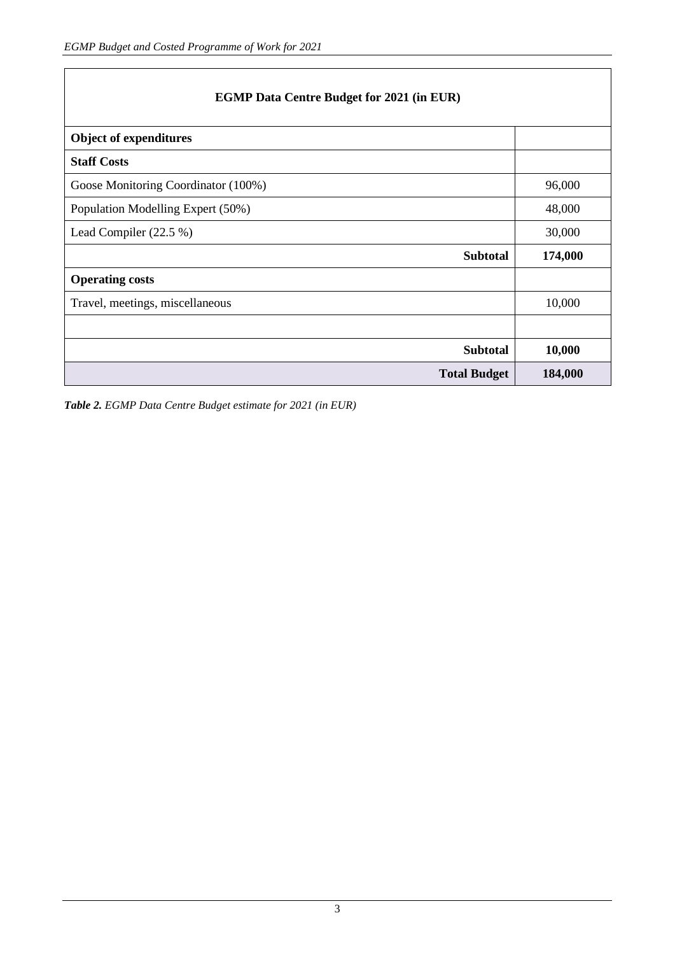| <b>Object of expenditures</b>       |                 |         |
|-------------------------------------|-----------------|---------|
| <b>Staff Costs</b>                  |                 |         |
| Goose Monitoring Coordinator (100%) |                 | 96,000  |
| Population Modelling Expert (50%)   |                 | 48,000  |
| Lead Compiler (22.5 %)              |                 | 30,000  |
|                                     | <b>Subtotal</b> | 174,000 |
| <b>Operating costs</b>              |                 |         |
| Travel, meetings, miscellaneous     |                 | 10,000  |
|                                     |                 |         |
|                                     | <b>Subtotal</b> | 10,000  |
| <b>Total Budget</b>                 |                 | 184,000 |

*Table 2. EGMP Data Centre Budget estimate for 2021 (in EUR)*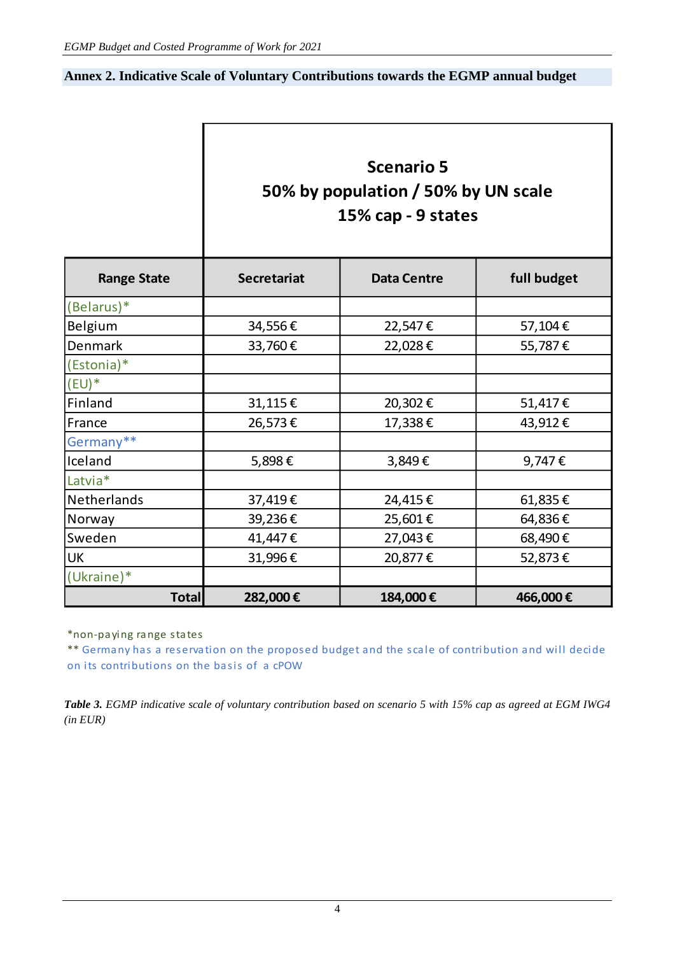## **Annex 2. Indicative Scale of Voluntary Contributions towards the EGMP annual budget**

| <b>Scenario 5</b>                   |
|-------------------------------------|
| 50% by population / 50% by UN scale |
| 15% cap - 9 states                  |

| <b>Range State</b> | <b>Secretariat</b> | <b>Data Centre</b> | full budget |
|--------------------|--------------------|--------------------|-------------|
| (Belarus)*         |                    |                    |             |
| Belgium            | 34,556€            | 22,547€            | 57,104€     |
| <b>Denmark</b>     | 33,760€            | 22,028€            | 55,787€     |
| (Estonia)*         |                    |                    |             |
| $(EU)^*$           |                    |                    |             |
| Finland            | 31,115€            | 20,302€            | 51,417€     |
| France             | 26,573€            | 17,338€            | 43,912€     |
| Germany**          |                    |                    |             |
| Iceland            | 5,898€             | 3,849€             | 9,747€      |
| Latvia*            |                    |                    |             |
| Netherlands        | 37,419€            | 24,415€            | 61,835€     |
| Norway             | 39,236€            | 25,601€            | 64,836€     |
| Sweden             | 41,447€            | 27,043€            | 68,490€     |
| UK                 | 31,996€            | 20,877€            | 52,873€     |
| (Ukraine)*         |                    |                    |             |
| <b>Total</b>       | 282,000€           | 184,000€           | 466,000€    |

\*non-paying range states

\*\* Germany has a reservation on the proposed budget and the scale of contribution and will decide on its contributions on the basis of a cPOW

*Table 3. EGMP indicative scale of voluntary contribution based on scenario 5 with 15% cap as agreed at EGM IWG4 (in EUR)*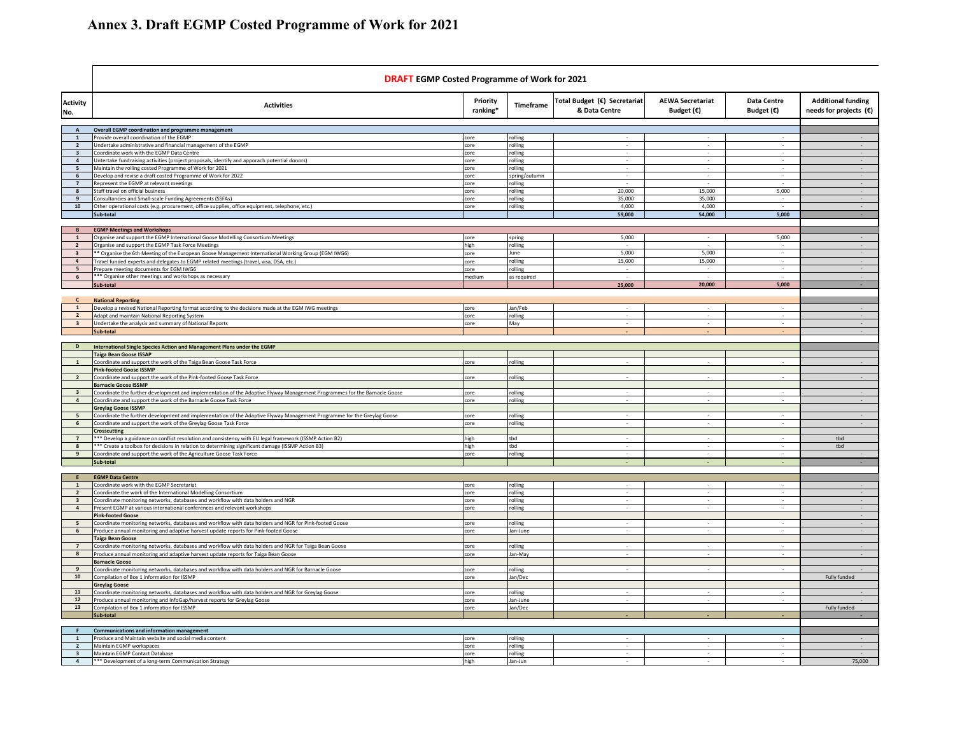|                                           | <b>DRAFT EGMP Costed Programme of Work for 2021</b>                                                                                                                       |                      |                    |                                               |                                                |                                           |                                                     |
|-------------------------------------------|---------------------------------------------------------------------------------------------------------------------------------------------------------------------------|----------------------|--------------------|-----------------------------------------------|------------------------------------------------|-------------------------------------------|-----------------------------------------------------|
| Activity<br>No.                           | <b>Activities</b>                                                                                                                                                         | Priority<br>ranking* | Timeframe          | Total Budget (€) Secretariat<br>& Data Centre | <b>AEWA Secretariat</b><br>Budget $(\epsilon)$ | <b>Data Centre</b><br>Budget $(\epsilon)$ | <b>Additional funding</b><br>needs for projects (€) |
| $\overline{A}$                            | <b>Overall EGMP coordination and programme management</b>                                                                                                                 |                      |                    |                                               |                                                |                                           |                                                     |
| $\mathbf{1}$                              | Provide overall coordination of the EGMP                                                                                                                                  | core                 | rolling            |                                               |                                                | $\sim$                                    |                                                     |
| $\overline{2}$                            | Undertake administrative and financial management of the EGMP                                                                                                             | core                 | rolling            |                                               |                                                |                                           |                                                     |
| $\overline{\mathbf{3}}$<br>$\overline{4}$ | Coordinate work with the EGMP Data Centre<br>Untertake fundraising activities (project proposals, identify and apporach potential donors)                                 | core<br>core         | rolling<br>rolling |                                               | $\sim$                                         | $\sim$                                    | $\sim$                                              |
| 5                                         | Maintain the rolling costed Programme of Work for 2021                                                                                                                    | core                 | rolling            | $\sim$                                        | $\sim$                                         | $\sim$                                    | $\sim$                                              |
| 6                                         | Develop and revise a draft costed Programme of Work for 2022                                                                                                              | core                 | spring/autumn      |                                               |                                                |                                           |                                                     |
| $\overline{7}$                            | Represent the EGMP at relevant meetings                                                                                                                                   | core                 | rolling            |                                               |                                                |                                           |                                                     |
| 8                                         | Staff travel on official business<br>Consultancies and Small-scale Funding Agreements (SSFAs)                                                                             | core<br>core         | olling<br>olling   | 20,000<br>35,000                              | 15,000<br>35,000                               | 5,000                                     |                                                     |
| 10                                        | Other operational costs (e.g. procurement, office supplies, office equipment, telephone, etc.)                                                                            | core                 | rolling            | 4,000                                         | 4.000                                          |                                           |                                                     |
|                                           | Sub-total                                                                                                                                                                 |                      |                    | 59,000                                        | 54,000                                         | 5,000                                     |                                                     |
|                                           |                                                                                                                                                                           |                      |                    |                                               |                                                |                                           |                                                     |
| B<br>$\overline{1}$                       | <b>EGMP Meetings and Workshops</b><br>Organise and support the EGMP International Goose Modelling Consortium Meetings                                                     | core                 | spring             | 5,000                                         |                                                | 5,000                                     |                                                     |
| $\overline{2}$                            | Organise and support the EGMP Task Force Meetings                                                                                                                         | high                 | rolling            |                                               |                                                |                                           |                                                     |
| $\overline{\mathbf{3}}$                   | ** Organise the 6th Meeting of the European Goose Management International Working Group (EGM IWG6)                                                                       | core                 | June               | 5,000                                         | 5,000                                          | $\sim$                                    | $\sim$                                              |
| $\overline{4}$                            | Travel funded experts and delegates to EGMP related meetings (travel, visa, DSA, etc.)                                                                                    | core                 | rolling            | 15,000                                        | 15,000                                         | $\sim$                                    | $\sim$                                              |
| $5\overline{5}$                           | Prepare meeting documents for EGM IWG6                                                                                                                                    | core                 | rolling            |                                               |                                                |                                           | $\sim$                                              |
| 6                                         | *** Organise other meetings and workshops as necessary                                                                                                                    | medium               | as required        |                                               | 20,000                                         | 5,000                                     | $\sim$                                              |
|                                           | Sub-total                                                                                                                                                                 |                      |                    | 25,000                                        |                                                |                                           |                                                     |
| $\mathbf{c}$                              | <b>National Reporting</b>                                                                                                                                                 |                      |                    |                                               |                                                |                                           |                                                     |
| $\mathbf{1}$                              | Develop a revised National Reporting format according to the decisions made at the EGM IWG meetings                                                                       | core                 | Jan/Feb            |                                               |                                                |                                           |                                                     |
| $\overline{2}$                            | Adapt and maintain National Reporting System                                                                                                                              | core                 | rolling            |                                               |                                                |                                           |                                                     |
| $\overline{\mathbf{3}}$                   | Undertake the analysis and summary of National Reports<br>Sub-total                                                                                                       | core                 | May                |                                               |                                                |                                           |                                                     |
|                                           |                                                                                                                                                                           |                      |                    |                                               |                                                |                                           |                                                     |
| D                                         | International Single Species Action and Management Plans under the EGMP                                                                                                   |                      |                    |                                               |                                                |                                           |                                                     |
|                                           | <b>Taiga Bean Goose ISSAP</b>                                                                                                                                             |                      |                    |                                               |                                                |                                           |                                                     |
|                                           | Coordinate and support the work of the Taiga Bean Goose Task Force                                                                                                        | core                 | rolling            |                                               |                                                |                                           |                                                     |
| $\overline{2}$                            | <b>Pink-footed Goose ISSMP</b><br>Coordinate and support the work of the Pink-footed Goose Task Force                                                                     | core                 | rolling            |                                               |                                                |                                           |                                                     |
|                                           | <b>Barnacle Goose ISSMP</b>                                                                                                                                               |                      |                    |                                               |                                                |                                           |                                                     |
| $\overline{\mathbf{3}}$                   | Coordinate the further development and implementation of the Adaptive Flyway Management Programmes for the Barnacle Goose                                                 | core                 | olling             |                                               |                                                |                                           |                                                     |
| $\overline{a}$                            | Coordinate and support the work of the Barnacle Goose Task Force                                                                                                          | core                 | olling             |                                               |                                                |                                           |                                                     |
| $\overline{a}$                            | <b>Greylag Goose ISSMP</b><br>Coordinate the further development and implementation of the Adaptive Flyway Management Programme for the Greylag Goose                     | core                 | rolling            |                                               |                                                |                                           |                                                     |
| 6                                         | Coordinate and support the work of the Greylag Goose Task Force                                                                                                           | core                 | rolling            |                                               |                                                |                                           |                                                     |
|                                           | <b>Crosscutting</b>                                                                                                                                                       |                      |                    |                                               |                                                |                                           |                                                     |
| $\overline{7}$                            | *** Develop a guidance on conflict resolution and consistency with EU legal framework (ISSMP Action B2)                                                                   | high                 | tbd                |                                               |                                                |                                           | tbd                                                 |
| $\boldsymbol{8}$<br>9                     | *** Create a toolbox for decisions in relation to determining significant damage (ISSMP Action B3)<br>Coordinate and support the work of the Agriculture Goose Task Force | high<br>core         | tbd<br>rolling     |                                               |                                                |                                           | tbd                                                 |
|                                           | Sub-total                                                                                                                                                                 |                      |                    |                                               |                                                |                                           |                                                     |
|                                           |                                                                                                                                                                           |                      |                    |                                               |                                                |                                           |                                                     |
| E                                         | <b>EGMP Data Centre</b>                                                                                                                                                   |                      |                    |                                               |                                                |                                           |                                                     |
| $\mathbf{1}$<br>$\overline{2}$            | Coordinate work with the EGMP Secretariat<br>Coordinate the work of the International Modelling Consortium                                                                | core<br>core         | rolling<br>olling  |                                               |                                                |                                           |                                                     |
| $\overline{\mathbf{a}}$                   | Coordinate monitoring networks, databases and workflow with data holders and NGR                                                                                          | core                 | olling             |                                               |                                                |                                           |                                                     |
| $\overline{a}$                            | Present EGMP at various international conferences and relevant workshops                                                                                                  | core                 | rolling            |                                               |                                                |                                           |                                                     |
|                                           | <b>Pink-footed Goose</b>                                                                                                                                                  |                      |                    |                                               |                                                |                                           |                                                     |
| 5<br>$\,$ 6 $\,$                          | Coordinate monitoring networks, databases and workflow with data holders and NGR for Pink-footed Goose                                                                    | core                 | rolling            |                                               |                                                |                                           |                                                     |
|                                           | Produce annual monitoring and adaptive harvest update reports for Pink-footed Goose<br><b>Taiga Bean Goose</b>                                                            | core                 | Jan-June           |                                               |                                                |                                           |                                                     |
| $\overline{7}$                            | Coordinate monitoring networks, databases and workflow with data holders and NGR for Taiga Bean Goose                                                                     | core                 | olling             | $\sim$                                        |                                                |                                           |                                                     |
| 8                                         | Produce annual monitoring and adaptive harvest update reports for Taiga Bean Goose                                                                                        | core                 | Jan-May            |                                               |                                                |                                           |                                                     |
|                                           | <b>Barnacle Goose</b>                                                                                                                                                     |                      |                    |                                               |                                                |                                           |                                                     |
| 9<br>10                                   | Coordinate monitoring networks, databases and workflow with data holders and NGR for Barnacle Goose<br>Compilation of Box 1 information for ISSMP                         | core<br>core         | olling<br>Jan/Dec  |                                               |                                                |                                           | Fully funded                                        |
|                                           | <b>Greylag Goose</b>                                                                                                                                                      |                      |                    |                                               |                                                |                                           |                                                     |
| 11                                        | Coordinate monitoring networks, databases and workflow with data holders and NGR for Greylag Goose                                                                        | core                 | rolling            |                                               |                                                |                                           |                                                     |
| $12$                                      | Produce annual monitoring and InfoGap/harvest reports for Greylag Goose                                                                                                   | core                 | Jan-June           |                                               |                                                |                                           |                                                     |
| 13                                        | Compilation of Box 1 information for ISSMP                                                                                                                                | core                 | Jan/Dec            |                                               |                                                |                                           | Fully funded                                        |
|                                           | Sub-total                                                                                                                                                                 |                      |                    |                                               |                                                |                                           |                                                     |
| -F.                                       | <b>Communications and information management</b>                                                                                                                          |                      |                    |                                               |                                                |                                           |                                                     |
| 1                                         | Produce and Maintain website and social media content                                                                                                                     | core                 | rolling            |                                               |                                                |                                           |                                                     |
| $\overline{\mathbf{2}}$                   | Maintain EGMP workspaces                                                                                                                                                  | core                 | olling             |                                               |                                                |                                           |                                                     |
| $\overline{\mathbf{3}}$<br>$\overline{a}$ | Maintain EGMP Contact Database<br>*** Development of a long-term Communication Strategy                                                                                   | core<br>high         | olling<br>lan-lun  |                                               |                                                |                                           | 75,000                                              |
|                                           |                                                                                                                                                                           |                      |                    |                                               |                                                |                                           |                                                     |